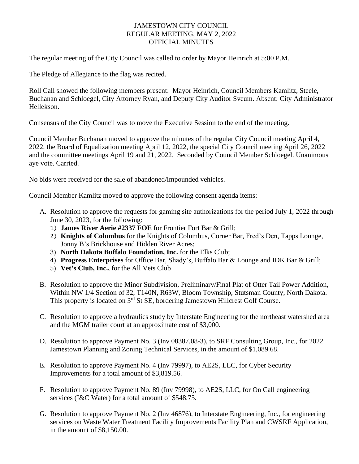## JAMESTOWN CITY COUNCIL REGULAR MEETING, MAY 2, 2022 OFFICIAL MINUTES

The regular meeting of the City Council was called to order by Mayor Heinrich at 5:00 P.M.

The Pledge of Allegiance to the flag was recited.

Roll Call showed the following members present: Mayor Heinrich, Council Members Kamlitz, Steele, Buchanan and Schloegel, City Attorney Ryan, and Deputy City Auditor Sveum. Absent: City Administrator Hellekson.

Consensus of the City Council was to move the Executive Session to the end of the meeting.

Council Member Buchanan moved to approve the minutes of the regular City Council meeting April 4, 2022, the Board of Equalization meeting April 12, 2022, the special City Council meeting April 26, 2022 and the committee meetings April 19 and 21, 2022. Seconded by Council Member Schloegel. Unanimous aye vote. Carried.

No bids were received for the sale of abandoned/impounded vehicles.

Council Member Kamlitz moved to approve the following consent agenda items:

- A. Resolution to approve the requests for gaming site authorizations for the period July 1, 2022 through June 30, 2023, for the following:
	- 1) **James River Aerie #2337 FOE** for Frontier Fort Bar & Grill;
	- 2) **Knights of Columbus** for the Knights of Columbus, Corner Bar, Fred's Den, Tapps Lounge, Jonny B's Brickhouse and Hidden River Acres;
	- 3) **North Dakota Buffalo Foundation, Inc.** for the Elks Club;
	- 4) **Progress Enterprises** for Office Bar, Shady's, Buffalo Bar & Lounge and IDK Bar & Grill;
	- 5) **Vet's Club, Inc.,** for the All Vets Club
- B. Resolution to approve the Minor Subdivision, Preliminary/Final Plat of Otter Tail Power Addition, Within NW 1/4 Section of 32, T140N, R63W, Bloom Township, Stutsman County, North Dakota. This property is located on 3<sup>rd</sup> St SE, bordering Jamestown Hillcrest Golf Course.
- C. Resolution to approve a hydraulics study by Interstate Engineering for the northeast watershed area and the MGM trailer court at an approximate cost of \$3,000.
- D. Resolution to approve Payment No. 3 (Inv 08387.08-3), to SRF Consulting Group, Inc., for 2022 Jamestown Planning and Zoning Technical Services, in the amount of \$1,089.68.
- E. Resolution to approve Payment No. 4 (Inv 79997), to AE2S, LLC, for Cyber Security Improvements for a total amount of \$3,819.56.
- F. Resolution to approve Payment No. 89 (Inv 79998), to AE2S, LLC, for On Call engineering services (I&C Water) for a total amount of \$548.75.
- G. Resolution to approve Payment No. 2 (Inv 46876), to Interstate Engineering, Inc., for engineering services on Waste Water Treatment Facility Improvements Facility Plan and CWSRF Application, in the amount of \$8,150.00.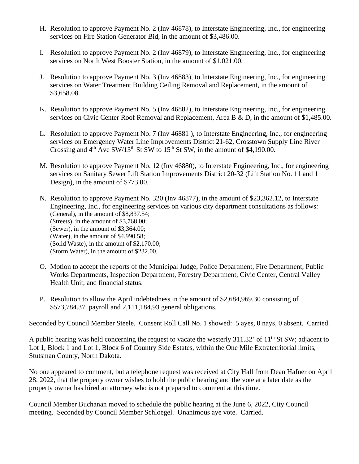- H. Resolution to approve Payment No. 2 (Inv 46878), to Interstate Engineering, Inc., for engineering services on Fire Station Generator Bid, in the amount of \$3,486.00.
- I. Resolution to approve Payment No. 2 (Inv 46879), to Interstate Engineering, Inc., for engineering services on North West Booster Station, in the amount of \$1,021.00.
- J. Resolution to approve Payment No. 3 (Inv 46883), to Interstate Engineering, Inc., for engineering services on Water Treatment Building Ceiling Removal and Replacement, in the amount of \$3,658.08.
- K. Resolution to approve Payment No. 5 (Inv 46882), to Interstate Engineering, Inc., for engineering services on Civic Center Roof Removal and Replacement, Area B & D, in the amount of \$1,485.00.
- L. Resolution to approve Payment No. 7 (Inv 46881 ), to Interstate Engineering, Inc., for engineering services on Emergency Water Line Improvements District 21-62, Crosstown Supply Line River Crossing and  $4<sup>th</sup>$  Ave SW/13<sup>th</sup> St SW to 15<sup>th</sup> St SW, in the amount of \$4,190.00.
- M. Resolution to approve Payment No. 12 (Inv 46880), to Interstate Engineering, Inc., for engineering services on Sanitary Sewer Lift Station Improvements District 20-32 (Lift Station No. 11 and 1 Design), in the amount of \$773.00.
- N. Resolution to approve Payment No. 320 (Inv 46877), in the amount of \$23,362.12, to Interstate Engineering, Inc., for engineering services on various city department consultations as follows: (General), in the amount of \$8,837.54; (Streets), in the amount of \$3,768.00; (Sewer), in the amount of \$3,364.00; (Water), in the amount of \$4,990.58; (Solid Waste), in the amount of \$2,170.00; (Storm Water), in the amount of \$232.00.
- O. Motion to accept the reports of the Municipal Judge, Police Department, Fire Department, Public Works Departments, Inspection Department, Forestry Department, Civic Center, Central Valley Health Unit, and financial status.
- P. Resolution to allow the April indebtedness in the amount of \$2,684,969.30 consisting of \$573,784.37 payroll and 2,111,184.93 general obligations.

Seconded by Council Member Steele. Consent Roll Call No. 1 showed: 5 ayes, 0 nays, 0 absent. Carried.

A public hearing was held concerning the request to vacate the westerly 311.32' of 11<sup>th</sup> St SW; adjacent to Lot 1, Block 1 and Lot 1, Block 6 of Country Side Estates, within the One Mile Extraterritorial limits, Stutsman County, North Dakota.

No one appeared to comment, but a telephone request was received at City Hall from Dean Hafner on April 28, 2022, that the property owner wishes to hold the public hearing and the vote at a later date as the property owner has hired an attorney who is not prepared to comment at this time.

Council Member Buchanan moved to schedule the public hearing at the June 6, 2022, City Council meeting. Seconded by Council Member Schloegel. Unanimous aye vote. Carried.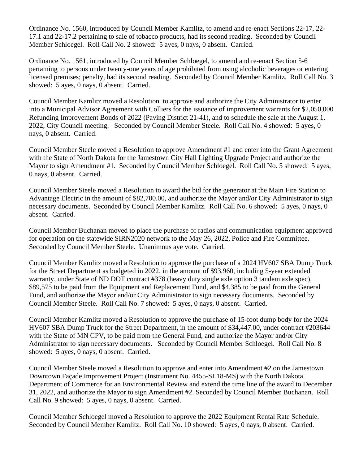Ordinance No. 1560, introduced by Council Member Kamlitz, to amend and re-enact Sections 22-17, 22- 17.1 and 22-17.2 pertaining to sale of tobacco products, had its second reading. Seconded by Council Member Schloegel. Roll Call No. 2 showed: 5 ayes, 0 nays, 0 absent. Carried.

Ordinance No. 1561, introduced by Council Member Schloegel, to amend and re-enact Section 5-6 pertaining to persons under twenty-one years of age prohibited from using alcoholic beverages or entering licensed premises; penalty, had its second reading. Seconded by Council Member Kamlitz. Roll Call No. 3 showed: 5 ayes, 0 nays, 0 absent. Carried.

Council Member Kamlitz moved a Resolution to approve and authorize the City Administrator to enter into a Municipal Advisor Agreement with Colliers for the issuance of improvement warrants for \$2,050,000 Refunding Improvement Bonds of 2022 (Paving District 21-41), and to schedule the sale at the August 1, 2022, City Council meeting. Seconded by Council Member Steele. Roll Call No. 4 showed: 5 ayes, 0 nays, 0 absent. Carried.

Council Member Steele moved a Resolution to approve Amendment #1 and enter into the Grant Agreement with the State of North Dakota for the Jamestown City Hall Lighting Upgrade Project and authorize the Mayor to sign Amendment #1. Seconded by Council Member Schloegel. Roll Call No. 5 showed: 5 ayes, 0 nays, 0 absent. Carried.

Council Member Steele moved a Resolution to award the bid for the generator at the Main Fire Station to Advantage Electric in the amount of \$82,700.00, and authorize the Mayor and/or City Administrator to sign necessary documents. Seconded by Council Member Kamlitz. Roll Call No. 6 showed: 5 ayes, 0 nays, 0 absent. Carried.

Council Member Buchanan moved to place the purchase of radios and communication equipment approved for operation on the statewide SIRN2020 network to the May 26, 2022, Police and Fire Committee. Seconded by Council Member Steele. Unanimous aye vote. Carried.

Council Member Kamlitz moved a Resolution to approve the purchase of a 2024 HV607 SBA Dump Truck for the Street Department as budgeted in 2022, in the amount of \$93,960, including 5-year extended warranty, under State of ND DOT contract #378 (heavy duty single axle option 3 tandem axle spec), \$89,575 to be paid from the Equipment and Replacement Fund, and \$4,385 to be paid from the General Fund, and authorize the Mayor and/or City Administrator to sign necessary documents. Seconded by Council Member Steele. Roll Call No. 7 showed: 5 ayes, 0 nays, 0 absent. Carried.

Council Member Kamlitz moved a Resolution to approve the purchase of 15-foot dump body for the 2024 HV607 SBA Dump Truck for the Street Department, in the amount of \$34,447.00, under contract #203644 with the State of MN CPV, to be paid from the General Fund, and authorize the Mayor and/or City Administrator to sign necessary documents. Seconded by Council Member Schloegel. Roll Call No. 8 showed: 5 ayes, 0 nays, 0 absent. Carried.

Council Member Steele moved a Resolution to approve and enter into Amendment #2 on the Jamestown Downtown Façade Improvement Project (Instrument No. 4455-SL18-MS) with the North Dakota Department of Commerce for an Environmental Review and extend the time line of the award to December 31, 2022, and authorize the Mayor to sign Amendment #2. Seconded by Council Member Buchanan. Roll Call No. 9 showed: 5 ayes, 0 nays, 0 absent. Carried.

Council Member Schloegel moved a Resolution to approve the 2022 Equipment Rental Rate Schedule. Seconded by Council Member Kamlitz. Roll Call No. 10 showed: 5 ayes, 0 nays, 0 absent. Carried.